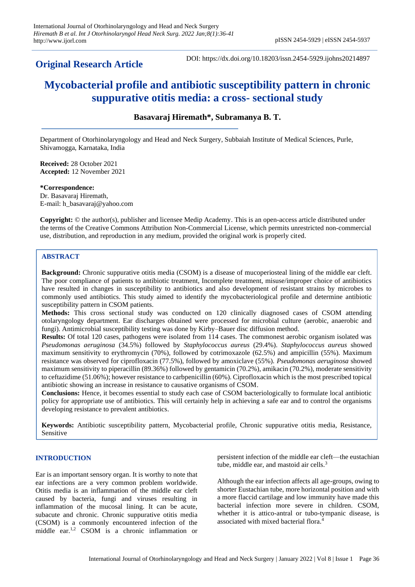# **Original Research Article**

DOI: https://dx.doi.org/10.18203/issn.2454-5929.ijohns20214897

# **Mycobacterial profile and antibiotic susceptibility pattern in chronic suppurative otitis media: a cross- sectional study**

**Basavaraj Hiremath\*, Subramanya B. T.**

Department of Otorhinolaryngology and Head and Neck Surgery, Subbaiah Institute of Medical Sciences, Purle, Shivamogga, Karnataka, India

**Received:** 28 October 2021 **Accepted:** 12 November 2021

**\*Correspondence:** Dr. Basavaraj Hiremath, E-mail: h\_basavaraj@yahoo.com

**Copyright:** © the author(s), publisher and licensee Medip Academy. This is an open-access article distributed under the terms of the Creative Commons Attribution Non-Commercial License, which permits unrestricted non-commercial use, distribution, and reproduction in any medium, provided the original work is properly cited.

# **ABSTRACT**

**Background:** Chronic suppurative otitis media (CSOM) is a disease of mucoperiosteal lining of the middle ear cleft. The poor compliance of patients to antibiotic treatment, Incomplete treatment, misuse/improper choice of antibiotics have resulted in changes in susceptibility to antibiotics and also development of resistant strains by microbes to commonly used antibiotics. This study aimed to identify the mycobacteriological profile and determine antibiotic susceptibility pattern in CSOM patients.

**Methods:** This cross sectional study was conducted on 120 clinically diagnosed cases of CSOM attending otolaryngology department. Ear discharges obtained were processed for microbial culture (aerobic, anaerobic and fungi). Antimicrobial susceptibility testing was done by Kirby–Bauer disc diffusion method.

**Results:** Of total 120 cases, pathogens were isolated from 114 cases. The commonest aerobic organism isolated was *Pseudomonas aeruginosa* (34.5%) followed by *Staphylococcus aureus* (29.4%). *Staphylococcus aureus* showed maximum sensitivity to erythromycin (70%), followed by cotrimoxazole (62.5%) and ampicillin (55%). Maximum resistance was observed for ciprofloxacin (77.5%), followed by amoxiclave (55%). *Pseudomonas aeruginosa* showed maximum sensitivity to piperacillin (89.36%) followed by gentamicin (70.2%), amikacin (70.2%), moderate sensitivity to ceftazidime (51.06%); however resistance to carbpenicillin (60%). Ciprofloxacin which is the most prescribed topical antibiotic showing an increase in resistance to causative organisms of CSOM.

**Conclusions:** Hence, it becomes essential to study each case of CSOM bacteriologically to formulate local antibiotic policy for appropriate use of antibiotics. This will certainly help in achieving a safe ear and to control the organisms developing resistance to prevalent antibiotics.

**Keywords:** Antibiotic susceptibility pattern, Mycobacterial profile, Chronic suppurative otitis media, Resistance, Sensitive

# **INTRODUCTION**

Ear is an important sensory organ. It is worthy to note that ear infections are a very common problem worldwide. Otitis media is an inflammation of the middle ear cleft caused by bacteria, fungi and viruses resulting in inflammation of the mucosal lining. It can be acute, subacute and chronic. Chronic suppurative otitis media (CSOM) is a commonly encountered infection of the middle ear.1,2 CSOM is a chronic inflammation or

persistent infection of the middle ear cleft—the eustachian tube, middle ear, and mastoid air cells.<sup>3</sup>

Although the ear infection affects all age-groups, owing to shorter Eustachian tube, more horizontal position and with a more flaccid cartilage and low immunity have made this bacterial infection more severe in children. CSOM, whether it is attico-antral or tubo-tympanic disease, is associated with mixed bacterial flora.<sup>4</sup>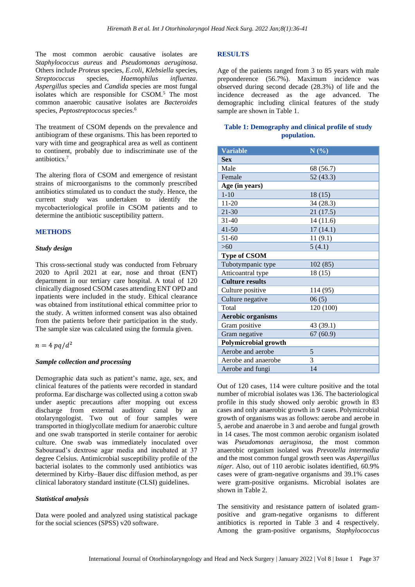The most common aerobic causative isolates are *Staphylococcus aureus* and *Pseudomonas aeruginosa*. Others include *Proteus* species, *E.coli, Klebsiella* species, *Streptococcus* species, *Haemophilus influenza*. *Aspergillus* species and *Candida* species are most fungal isolates which are responsible for CSOM.<sup>5</sup> The most common anaerobic causative isolates are *Bacteroides* species, *Peptostreptococus* species.<sup>6</sup>

The treatment of CSOM depends on the prevalence and antibiogram of these organisms. This has been reported to vary with time and geographical area as well as continent to continent, probably due to indiscriminate use of the antibiotics.<sup>7</sup>

The altering flora of CSOM and emergence of resistant strains of microorganisms to the commonly prescribed antibiotics stimulated us to conduct the study. Hence, the current study was undertaken to identify the mycobacteriological profile in CSOM patients and to determine the antibiotic susceptibility pattern.

#### **METHODS**

#### *Study design*

This cross-sectional study was conducted from February 2020 to April 2021 at ear, nose and throat (ENT) department in our tertiary care hospital. A total of 120 clinically diagnosed CSOM cases attending ENT OPD and inpatients were included in the study. Ethical clearance was obtained from institutional ethical committee prior to the study. A written informed consent was also obtained from the patients before their participation in the study. The sample size was calculated using the formula given.

$$
n=4\ pq/d^2
$$

### *Sample collection and processing*

Demographic data such as patient's name, age, sex, and clinical features of the patients were recorded in standard proforma. Ear discharge was collected using a cotton swab under aseptic precautions after mopping out excess discharge from external auditory canal by an otolaryngologist. Two out of four samples were transported in thioglycollate medium for anaerobic culture and one swab transported in sterile container for aerobic culture. One swab was immediately inoculated over Sabouraud's dextrose agar media and incubated at 37 degree Celsius. Antimicrobial susceptibility profile of the bacterial isolates to the commonly used antibiotics was determined by Kirby–Bauer disc diffusion method, as per clinical laboratory standard institute (CLSI) guidelines.

### *Statistical analysis*

Data were pooled and analyzed using statistical package for the social sciences (SPSS) v20 software.

#### **RESULTS**

Age of the patients ranged from 3 to 85 years with male preponderence (56.7%). Maximum incidence was observed during second decade (28.3%) of life and the incidence decreased as the age advanced. The demographic including clinical features of the study sample are shown in Table 1.

# **Table 1: Demography and clinical profile of study population.**

| <b>Variable</b>             | N(%)      |
|-----------------------------|-----------|
| Sex                         |           |
| Male                        | 68 (56.7) |
| Female                      | 52(43.3)  |
| Age (in years)              |           |
| $1 - 10$                    | 18(15)    |
| $11 - 20$                   | 34 (28.3) |
| $21 - 30$                   | 21(17.5)  |
| $31 - 40$                   | 14(11.6)  |
| $41 - 50$                   | 17(14.1)  |
| $51 - 60$                   | 11(9.1)   |
| >60                         | 5(4.1)    |
| <b>Type of CSOM</b>         |           |
| Tubotympanic type           | 102(85)   |
| Atticoantral type           | 18(15)    |
| <b>Culture results</b>      |           |
| Culture positive            | 114 (95)  |
| Culture negative            | 06(5)     |
| Total                       | 120 (100) |
| <b>Aerobic organisms</b>    |           |
| Gram positive               | 43 (39.1) |
| Gram negative               | 67(60.9)  |
| <b>Polymicrobial growth</b> |           |
| Aerobe and aerobe           | 5         |
| Aerobe and anaerobe         | 3         |
| Aerobe and fungi            | 14        |

Out of 120 cases, 114 were culture positive and the total number of microbial isolates was 136. The bacteriological profile in this study showed only aerobic growth in 83 cases and only anaerobic growth in 9 cases. Polymicrobial growth of organisms was as follows: aerobe and aerobe in 5, aerobe and anaerobe in 3 and aerobe and fungal growth in 14 cases. The most common aerobic organism isolated was *Pseudomonas aeruginosa*, the most common anaerobic organism isolated was *Prevotella intermedia* and the most common fungal growth seen was *Aspergillus niger*. Also, out of 110 aerobic isolates identified, 60.9% cases were of gram-negative organisms and 39.1% cases were gram-positive organisms. Microbial isolates are shown in Table 2.

The sensitivity and resistance pattern of isolated grampositive and gram-negative organisms to different antibiotics is reported in Table 3 and 4 respectively. Among the gram-positive organisms, *Staphylococcus*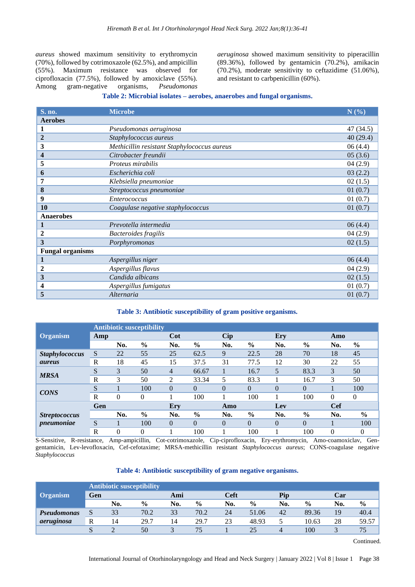*aureus* showed maximum sensitivity to erythromycin (70%), followed by cotrimoxazole (62.5%), and ampicillin (55%). Maximum resistance was observed for ciprofloxacin (77.5%), followed by amoxiclave (55%). Among gram-negative organisms, *Pseudomonas*  *aeruginosa* showed maximum sensitivity to piperacillin (89.36%), followed by gentamicin (70.2%), amikacin (70.2%), moderate sensitivity to ceftazidime (51.06%), and resistant to carbpenicillin (60%).

#### **Table 2: Microbial isolates – aerobes, anaerobes and fungal organisms.**

| S. no.                  | <b>Microbe</b>                              | N(%)      |
|-------------------------|---------------------------------------------|-----------|
| <b>Aerobes</b>          |                                             |           |
| 1                       | Pseudomonas aeruginosa                      | 47 (34.5) |
| $\overline{2}$          | Staphylococcus aureus                       | 40(29.4)  |
| 3                       | Methicillin resistant Staphylococcus aureus | 06(4.4)   |
| 4                       | Citrobacter freundii                        | 05(3.6)   |
| 5                       | Proteus mirabilis                           | 04(2.9)   |
| 6                       | Escherichia coli                            | 03(2.2)   |
| 7                       | Klebsiella pneumoniae                       | 02(1.5)   |
| 8                       | Streptococcus pneumoniae                    | 01(0.7)   |
| 9                       | <b>Enterococcus</b>                         | 01(0.7)   |
| 10                      | Coagulase negative staphylococcus           | 01(0.7)   |
| <b>Anaerobes</b>        |                                             |           |
| 1                       | Prevotella intermedia                       | 06(4.4)   |
| 2                       | Bacteroides fragilis                        | 04(2.9)   |
| 3                       | Porphyromonas                               | 02(1.5)   |
| <b>Fungal organisms</b> |                                             |           |
| 1                       | Aspergillus niger                           | 06(4.4)   |
| 2                       | Aspergillus flavus                          | 04(2.9)   |
| 3                       | Candida albicans                            | 02(1.5)   |
| 4                       | Aspergillus fumigatus                       | 01(0.7)   |
| 5                       | Alternaria                                  | 01(0.7)   |

### **Table 3: Antibiotic susceptibility of gram positive organisms.**

|                             | <b>Antibiotic susceptibility</b> |     |               |          |               |            |               |          |               |            |               |  |
|-----------------------------|----------------------------------|-----|---------------|----------|---------------|------------|---------------|----------|---------------|------------|---------------|--|
| <b>Organism</b>             | Amp                              |     |               | Cot      |               | <b>Cip</b> |               | Ery      |               | Amo        |               |  |
|                             |                                  | No. | $\frac{6}{6}$ | No.      | $\frac{0}{0}$ | No.        | $\%$          | No.      | $\%$          | No.        | $\frac{6}{9}$ |  |
| <b>Staphylococcus</b>       | S                                | 22  | 55            | 25       | 62.5          | 9          | 22.5          | 28       | 70            | 18         | 45            |  |
| <i><u><b>aureus</b></u></i> | $\mathbb{R}$                     | 18  | 45            | 15       | 37.5          | 31         | 77.5          | 12       | 30            | 22         | 55            |  |
| <b>MRSA</b>                 | S                                | 3   | 50            | 4        | 66.67         |            | 16.7          | 5        | 83.3          | 3          | 50            |  |
|                             | $\mathbb{R}$                     | 3   | 50            | 2        | 33.34         | 5          | 83.3          |          | 16.7          | 3          | 50            |  |
| <b>CONS</b>                 | S                                |     | 100           | $\theta$ | $\theta$      | $\theta$   | $\theta$      | $\Omega$ | $\theta$      |            | 100           |  |
|                             | R                                | 0   | $\theta$      |          | 100           |            | 100           |          | 100           | $\Omega$   | $\Omega$      |  |
|                             | Gen                              |     |               | Ery      |               | Amo        |               | Lev      |               | <b>Cef</b> |               |  |
| <b>Streptococcus</b>        |                                  | No. | $\frac{6}{6}$ | No.      | $\frac{6}{6}$ | No.        | $\frac{0}{0}$ | No.      | $\frac{0}{0}$ | No.        | $\frac{6}{6}$ |  |
| pneumoniae                  | S                                |     | 100           | $\Omega$ | $\theta$      | $\theta$   | $\Omega$      | $\Omega$ | $\theta$      |            | 100           |  |
|                             | $\mathbf R$                      | 0   | 0             |          | 100           |            | 100           |          | 100           | $\theta$   | $\theta$      |  |

S-Sensitive, R-resistance, Amp-ampicillin, Cot-cotrimoxazole, Cip-ciprofloxacin, Ery-erythromycin, Amo-coamoxiclav, Gengentamicin, Lev-levofloxacin, Cef-cefotaxime; MRSA-methicillin resistant *Staphylococcus aureus*; CONS-coagulase negative *Staphylococcus*

# **Table 4: Antibiotic susceptibility of gram negative organisms.**

|                    | <b>Antibiotic susceptibility</b> |        |               |     |               |     |               |     |               |     |               |
|--------------------|----------------------------------|--------|---------------|-----|---------------|-----|---------------|-----|---------------|-----|---------------|
| <b>Organism</b>    | Gen                              |        | Ami           |     | Ceft          |     | Pip           |     | Car           |     |               |
|                    |                                  | No.    | $\frac{0}{0}$ | No. | $\frac{0}{0}$ | No. | $\frac{6}{6}$ | No. | $\frac{6}{6}$ | No. | $\frac{0}{0}$ |
| <b>Pseudomonas</b> |                                  | 33     | 70.2          | 33  | 70.2          | 24  | 51.06         | 42  | 89.36         | 19  | 40.4          |
| aeruginosa         | R                                | 14     | 29.7          | 14  | 29.7          | 23  | 48.93         |     | 10.63         | 28  | 59.57         |
|                    |                                  | $\sim$ | 50            |     | 75            |     | 25            | 4   | 100           |     |               |

Continued.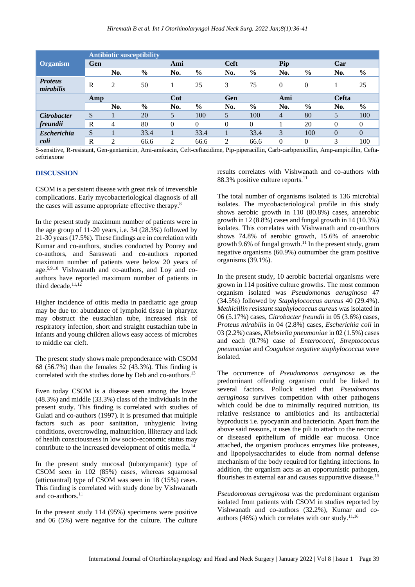|                             | <b>Antibiotic susceptibility</b> |                |               |          |               |                |               |          |               |          |          |  |
|-----------------------------|----------------------------------|----------------|---------------|----------|---------------|----------------|---------------|----------|---------------|----------|----------|--|
| <b>Organism</b>             | Gen                              |                |               | Ami      |               |                | Ceft          |          | Pip           |          |          |  |
|                             |                                  | No.            | $\frac{6}{6}$ | No.      | $\frac{0}{0}$ | No.            | $\%$          | No.      | $\frac{6}{6}$ | No.      | $\%$     |  |
| <b>Proteus</b><br>mirabilis | R                                | 2              | 50            |          | 25            | 3              | 75            | $\Omega$ | $\Omega$      |          | 25       |  |
|                             | Amp                              |                | Cot           |          | Gen           |                |               | Ami      |               | Cefta    |          |  |
|                             |                                  | No.            | $\frac{0}{0}$ | No.      | $\frac{0}{0}$ | No.            | $\frac{6}{9}$ | No.      | $\frac{0}{0}$ | No.      | $\%$     |  |
| <b>Citrobacter</b>          | S                                |                | 20            | 5        | 100           | 5              | 100           | 4        | 80            | 5        | 100      |  |
| freundii                    | R                                | $\overline{4}$ | 80            | $\theta$ | 0             | $\Omega$       | $\Omega$      |          | 20            | $\Omega$ | 0        |  |
| <b>Escherichia</b>          | S                                |                | 33.4          |          | 33.4          |                | 33.4          | 3        | 100           | $\theta$ | $\theta$ |  |
| coli                        | R                                | 2              | 66.6          | 2        | 66.6          | $\mathfrak{D}$ | 66.6          | $\Omega$ | $\Omega$      | 3        | 100      |  |

S-sensitive, R-resistant, Gen-gentamicin, Ami-amikacin, Ceft-ceftazidime, Pip-piperacillin, Carb-carbpenicillin, Amp-ampicillin, Ceftaceftriaxone

# **DISCUSSION**

CSOM is a persistent disease with great risk of irreversible complications. Early mycobacteriological diagnosis of all the cases will assume appropriate effective therapy.<sup>8</sup>

In the present study maximum number of patients were in the age group of 11-20 years, i.e. 34 (28.3%) followed by 21-30 years (17.5%). These findings are in correlation with Kumar and co-authors, studies conducted by Poorey and co-authors, and Saraswati and co-authors reported maximum number of patients were below 20 years of age.5,9,10 Vishwanath and co-authors, and Loy and coauthors have reported maximum number of patients in third decade. $11,12$ 

Higher incidence of otitis media in paediatric age group may be due to: abundance of lymphoid tissue in pharynx may obstruct the eustachian tube, increased risk of respiratory infection, short and straight eustachian tube in infants and young children allows easy access of microbes to middle ear cleft.

The present study shows male preponderance with CSOM 68 (56.7%) than the females 52 (43.3%). This finding is correlated with the studies done by Deb and co-authors.<sup>13</sup>

Even today CSOM is a disease seen among the lower (48.3%) and middle (33.3%) class of the individuals in the present study. This finding is correlated with studies of Gulati and co-authors (1997). It is presumed that multiple factors such as poor sanitation, unhygienic living conditions, overcrowding, malnutrition, illiteracy and lack of health consciousness in low socio-economic status may contribute to the increased development of otitis media.<sup>14</sup>

In the present study mucosal (tubotympanic) type of CSOM seen in 102 (85%) cases, whereas squamosal (atticoantral) type of CSOM was seen in 18 (15%) cases. This finding is correlated with study done by Vishwanath and co-authors.<sup>11</sup>

In the present study 114 (95%) specimens were positive and 06 (5%) were negative for the culture. The culture results correlates with Vishwanath and co-authors with 88.3% positive culture reports.<sup>11</sup>

The total number of organisms isolated is 136 microbial isolates. The mycobacteriological profile in this study shows aerobic growth in 110 (80.8%) cases, anaerobic growth in 12 (8.8%) cases and fungal growth in 14 (10.3%) isolates. This correlates with Vishwanath and co-authors shows 74.8% of aerobic growth, 15.6% of anaerobic growth 9.6% of fungal growth.<sup>11</sup> In the present study, gram negative organisms (60.9%) outnumber the gram positive organisms (39.1%).

In the present study, 10 aerobic bacterial organisms were grown in 114 positive culture growths. The most common organism isolated was *Pseudomonas aeruginosa* 47 (34.5%) followed by *Staphylococcus aureus* 40 (29.4%). *Methicillin resistant staphylococcus aureus* was isolated in 06 (5.17%) cases, *Citrobacter freundii* in 05 (3.6%) cases, *Proteus mirabilis* in 04 (2.8%) cases, *Escherichia coli* in 03 (2.2%) cases*, Klebsiella pneumoniae* in 02 (1.5%) cases and each (0.7%) case of *Enterococci, Streptococcus pneumoniae* and *Coagulase negative staphylococcus* were isolated.

The occurrence of *Pseudomonas aeruginosa* as the predominant offending organism could be linked to several factors. Pollock stated that *Pseudomonas aeruginosa* survives competition with other pathogens which could be due to minimally required nutrition, its relative resistance to antibiotics and its antibacterial byproducts i.e. pyocyanin and bacteriocin. Apart from the above said reasons, it uses the pili to attach to the necrotic or diseased epithelium of middle ear mucosa. Once attached, the organism produces enzymes like proteases, and lipopolysaccharides to elude from normal defense mechanism of the body required for fighting infections. In addition, the organism acts as an opportunistic pathogen, flourishes in external ear and causes suppurative disease.<sup>15</sup>

*Pseudomonas aeruginosa* was the predominant organism isolated from patients with CSOM in studies reported by Vishwanath and co-authors (32.2%), Kumar and coauthors (46%) which correlates with our study.11,16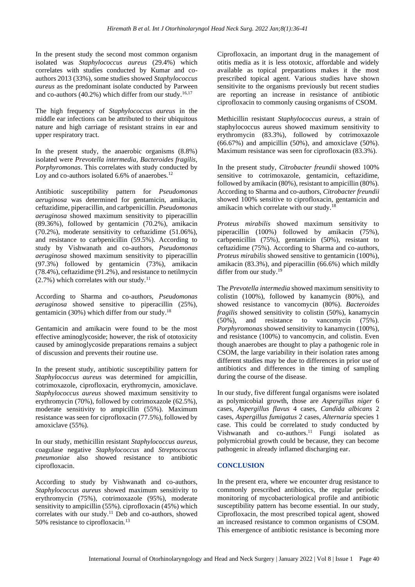In the present study the second most common organism isolated was *Staphylococcus aureus* (29.4%) which correlates with studies conducted by Kumar and coauthors 2013 (33%), some studies showed *Staphylococcus aureus* as the predominant isolate conducted by Parween and co-authors  $(40.2\%)$  which differ from our study.<sup>16,17</sup>

The high frequency of *Staphylococcus aureus* in the middle ear infections can be attributed to their ubiquitous nature and high carriage of resistant strains in ear and upper respiratory tract.

In the present study, the anaerobic organisms (8.8%) isolated were *Prevotella intermedia, Bacteroides fragilis, Porphyromonas*. This correlates with study conducted by Loy and co-authors isolated 6.6% of anaerobes.<sup>12</sup>

Antibiotic susceptibility pattern for *Pseudomonas aeruginosa* was determined for gentamicin, amikacin, ceftazidime, piperacillin, and carbpenicillin. *Pseudomonas aeruginosa* showed maximum sensitivity to piperacillin (89.36%), followed by gentamicin (70.2%), amikacin (70.2%), moderate sensitivity to ceftazidime (51.06%), and resistance to carbpenicillin (59.5%). According to study by Vishwanath and co-authors, *Pseudomonas aeruginosa* showed maximum sensitivity to piperacillin (97.3%) followed by gentamicin (73%), amikacin (78.4%), ceftazidime (91.2%), and resistance to netilmycin  $(2.7\%)$  which correlates with our study.<sup>11</sup>

According to Sharma and co-authors, *Pseudomonas aeruginosa* showed sensitive to piperacillin (25%), gentamicin (30%) which differ from our study.<sup>18</sup>

Gentamicin and amikacin were found to be the most effective aminoglycoside; however, the risk of ototoxicity caused by aminoglycoside preparations remains a subject of discussion and prevents their routine use.

In the present study, antibiotic susceptibility pattern for *Staphylococcus aureus* was determined for ampicillin, cotrimoxazole, ciprofloxacin, erythromycin, amoxiclave*. Staphylococcus aureus* showed maximum sensitivity to erythromycin (70%), followed by cotrimoxazole (62.5%), moderate sensitivity to ampicillin (55%). Maximum resistance was seen for ciprofloxacin (77.5%), followed by amoxiclave (55%).

In our study, methicillin resistant *Staphylococcus aureus,* coagulase negative *Staphylococcus* and *Streptococcus pneumoniae* also showed resistance to antibiotic ciprofloxacin.

According to study by Vishwanath and co-authors, *Staphylococcus aureus* showed maximum sensitivity to erythromycin (75%), cotrimoxazole (95%), moderate sensitivity to ampicillin (55%). ciprofloxacin (45%) which correlates with our study.<sup>11</sup> Deb and co-authors, showed 50% resistance to ciprofloxacin.<sup>13</sup>

Ciprofloxacin, an important drug in the management of otitis media as it is less ototoxic, affordable and widely available as topical preparations makes it the most prescribed topical agent. Various studies have shown sensitivite to the organisms previously but recent studies are reporting an increase in resistance of antibiotic ciprofloxacin to commonly causing organisms of CSOM.

Methicillin resistant *Staphylococcus aureus*, a strain of staphylococcus aureus showed maximum sensitivity to erythromycin (83.3%), followed by cotrimoxazole  $(66.67%)$  and ampicillin  $(50%)$ , and amoxiclave  $(50%).$ Maximum resistance was seen for ciprofloxacin (83.3%).

In the present study, *Citrobacter freundii* showed 100% sensitive to cotrimoxazole, gentamicin, ceftazidime, followed by amikacin (80%), resistant to ampicillin (80%). According to Sharma and co-authors, *Citrobacter freundii* showed 100% sensitive to ciprofloxacin, gentamicin and amikacin which correlate with our study.<sup>18</sup>

*Proteus mirabilis* showed maximum sensitivity to piperacillin (100%) followed by amikacin (75%), carbpenicillin (75%), gentamicin (50%), resistant to ceftazidime (75%). According to Sharma and co-authors, *Proteus mirabilis* showed sensitive to gentamicin (100%), amikacin (83.3%), and piperacillin (66.6%) which mildly differ from our study.<sup>19</sup>

The *Prevotella intermedia* showed maximum sensitivity to colistin (100%), followed by kanamycin (80%), and showed resistance to vancomycin (80%). *Bacteroides fragilis* showed sensitivity to colistin (50%), kanamycin (50%), and resistance to vancomycin (75%). *Porphyromonas* showed sensitivity to kanamycin (100%), and resistance (100%) to vancomycin, and colistin. Even though anaerobes are thought to play a pathogenic role in CSOM, the large variability in their isolation rates among different studies may be due to differences in prior use of antibiotics and differences in the timing of sampling during the course of the disease.

In our study, five different fungal organisms were isolated as polymicobial growth, those are *Aspergillus niger* 6 cases, *Aspergillus flavus* 4 cases, *Candida albicans* 2 cases, *Aspergillus fumigatus* 2 cases, *Alternaria* species 1 case. This could be correlated to study conducted by Vishwanath and  $co$ -authors.<sup>11</sup> Fungi isolated as polymicrobial growth could be because, they can become pathogenic in already inflamed discharging ear.

# **CONCLUSION**

In the present era, where we encounter drug resistance to commonly prescribed antibiotics, the regular periodic monitoring of mycobacteriological profile and antibiotic susceptibility pattern has become essential. In our study, Ciprofloxacin, the most prescribed topical agent, showed an increased resistance to common organisms of CSOM. This emergence of antibiotic resistance is becoming more